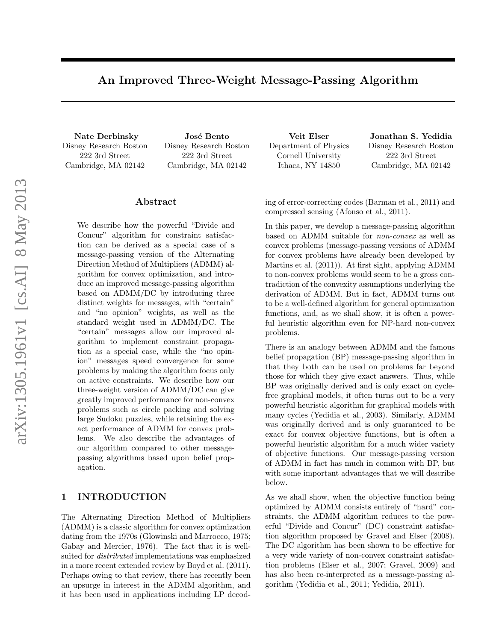# An Improved Three-Weight Message-Passing Algorithm

Nate Derbinsky Disney Research Boston 222 3rd Street Cambridge, MA 02142

José Bento Disney Research Boston 222 3rd Street Cambridge, MA 02142

#### Abstract

We describe how the powerful "Divide and Concur" algorithm for constraint satisfaction can be derived as a special case of a message-passing version of the Alternating Direction Method of Multipliers (ADMM) algorithm for convex optimization, and introduce an improved message-passing algorithm based on ADMM/DC by introducing three distinct weights for messages, with "certain" and "no opinion" weights, as well as the standard weight used in ADMM/DC. The "certain" messages allow our improved algorithm to implement constraint propagation as a special case, while the "no opinion" messages speed convergence for some problems by making the algorithm focus only on active constraints. We describe how our three-weight version of ADMM/DC can give greatly improved performance for non-convex problems such as circle packing and solving large Sudoku puzzles, while retaining the exact performance of ADMM for convex problems. We also describe the advantages of our algorithm compared to other messagepassing algorithms based upon belief propagation.

## 1 INTRODUCTION

The Alternating Direction Method of Multipliers (ADMM) is a classic algorithm for convex optimization dating from the 1970s (Glowinski and Marrocco, 1975; Gabay and Mercier, 1976). The fact that it is wellsuited for distributed implementations was emphasized in a more recent extended review by Boyd et al. (2011). Perhaps owing to that review, there has recently been an upsurge in interest in the ADMM algorithm, and it has been used in applications including LP decod-

Veit Elser Department of Physics Cornell University Ithaca, NY 14850

Jonathan S. Yedidia Disney Research Boston 222 3rd Street Cambridge, MA 02142

ing of error-correcting codes (Barman et al., 2011) and compressed sensing (Afonso et al., 2011).

In this paper, we develop a message-passing algorithm based on ADMM suitable for non-convex as well as convex problems (message-passing versions of ADMM for convex problems have already been developed by Martins et al. (2011)). At first sight, applying ADMM to non-convex problems would seem to be a gross contradiction of the convexity assumptions underlying the derivation of ADMM. But in fact, ADMM turns out to be a well-defined algorithm for general optimization functions, and, as we shall show, it is often a powerful heuristic algorithm even for NP-hard non-convex problems.

There is an analogy between ADMM and the famous belief propagation (BP) message-passing algorithm in that they both can be used on problems far beyond those for which they give exact answers. Thus, while BP was originally derived and is only exact on cyclefree graphical models, it often turns out to be a very powerful heuristic algorithm for graphical models with many cycles (Yedidia et al., 2003). Similarly, ADMM was originally derived and is only guaranteed to be exact for convex objective functions, but is often a powerful heuristic algorithm for a much wider variety of objective functions. Our message-passing version of ADMM in fact has much in common with BP, but with some important advantages that we will describe below.

As we shall show, when the objective function being optimized by ADMM consists entirely of "hard" constraints, the ADMM algorithm reduces to the powerful "Divide and Concur" (DC) constraint satisfaction algorithm proposed by Gravel and Elser (2008). The DC algorithm has been shown to be effective for a very wide variety of non-convex constraint satisfaction problems (Elser et al., 2007; Gravel, 2009) and has also been re-interpreted as a message-passing algorithm (Yedidia et al., 2011; Yedidia, 2011).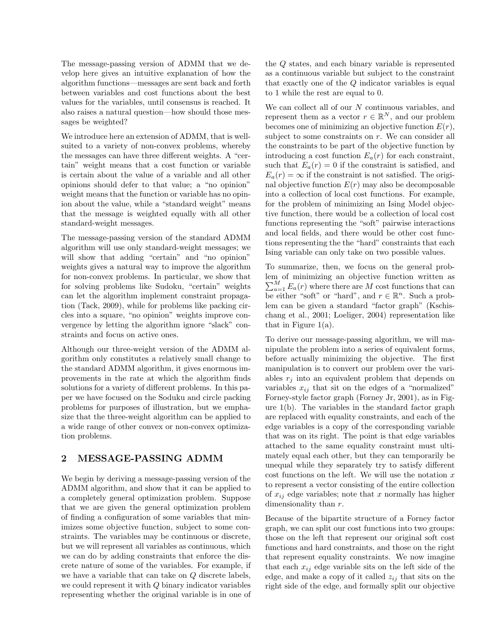The message-passing version of ADMM that we develop here gives an intuitive explanation of how the algorithm functions—messages are sent back and forth between variables and cost functions about the best values for the variables, until consensus is reached. It also raises a natural question—how should those messages be weighted?

We introduce here an extension of ADMM, that is wellsuited to a variety of non-convex problems, whereby the messages can have three different weights. A "certain" weight means that a cost function or variable is certain about the value of a variable and all other opinions should defer to that value; a "no opinion" weight means that the function or variable has no opinion about the value, while a "standard weight" means that the message is weighted equally with all other standard-weight messages.

The message-passing version of the standard ADMM algorithm will use only standard-weight messages; we will show that adding "certain" and "no opinion" weights gives a natural way to improve the algorithm for non-convex problems. In particular, we show that for solving problems like Sudoku, "certain" weights can let the algorithm implement constraint propagation (Tack, 2009), while for problems like packing circles into a square, "no opinion" weights improve convergence by letting the algorithm ignore "slack" constraints and focus on active ones.

Although our three-weight version of the ADMM algorithm only constitutes a relatively small change to the standard ADMM algorithm, it gives enormous improvements in the rate at which the algorithm finds solutions for a variety of different problems. In this paper we have focused on the Soduku and circle packing problems for purposes of illustration, but we emphasize that the three-weight algorithm can be applied to a wide range of other convex or non-convex optimization problems.

# 2 MESSAGE-PASSING ADMM

We begin by deriving a message-passing version of the ADMM algorithm, and show that it can be applied to a completely general optimization problem. Suppose that we are given the general optimization problem of finding a configuration of some variables that minimizes some objective function, subject to some constraints. The variables may be continuous or discrete, but we will represent all variables as continuous, which we can do by adding constraints that enforce the discrete nature of some of the variables. For example, if we have a variable that can take on Q discrete labels, we could represent it with Q binary indicator variables representing whether the original variable is in one of the Q states, and each binary variable is represented as a continuous variable but subject to the constraint that exactly one of the Q indicator variables is equal to 1 while the rest are equal to 0.

We can collect all of our  $N$  continuous variables, and represent them as a vector  $r \in \mathbb{R}^N$ , and our problem becomes one of minimizing an objective function  $E(r)$ , subject to some constraints on r. We can consider all the constraints to be part of the objective function by introducing a cost function  $E_a(r)$  for each constraint, such that  $E_a(r) = 0$  if the constraint is satisfied, and  $E_a(r) = \infty$  if the constraint is not satisfied. The original objective function  $E(r)$  may also be decomposable into a collection of local cost functions. For example, for the problem of minimizing an Ising Model objective function, there would be a collection of local cost functions representing the "soft" pairwise interactions and local fields, and there would be other cost functions representing the the "hard" constraints that each Ising variable can only take on two possible values.

To summarize, then, we focus on the general problem of minimizing an objective function written as  $\sum_{a=1}^{M} E_a(r)$  where there are M cost functions that can be either "soft" or "hard", and  $r \in \mathbb{R}^n$ . Such a problem can be given a standard "factor graph" (Kschischang et al., 2001; Loeliger, 2004) representation like that in Figure  $1(a)$ .

To derive our message-passing algorithm, we will manipulate the problem into a series of equivalent forms, before actually minimizing the objective. The first manipulation is to convert our problem over the variables  $r_i$  into an equivalent problem that depends on variables  $x_{ij}$  that sit on the edges of a "normalized" Forney-style factor graph (Forney Jr, 2001), as in Figure 1(b). The variables in the standard factor graph are replaced with equality constraints, and each of the edge variables is a copy of the corresponding variable that was on its right. The point is that edge variables attached to the same equality constraint must ultimately equal each other, but they can temporarily be unequal while they separately try to satisfy different cost functions on the left. We will use the notation  $x$ to represent a vector consisting of the entire collection of  $x_{ij}$  edge variables; note that x normally has higher dimensionality than  $r$ .

Because of the bipartite structure of a Forney factor graph, we can split our cost functions into two groups: those on the left that represent our original soft cost functions and hard constraints, and those on the right that represent equality constraints. We now imagine that each  $x_{ij}$  edge variable sits on the left side of the edge, and make a copy of it called  $z_{ij}$  that sits on the right side of the edge, and formally split our objective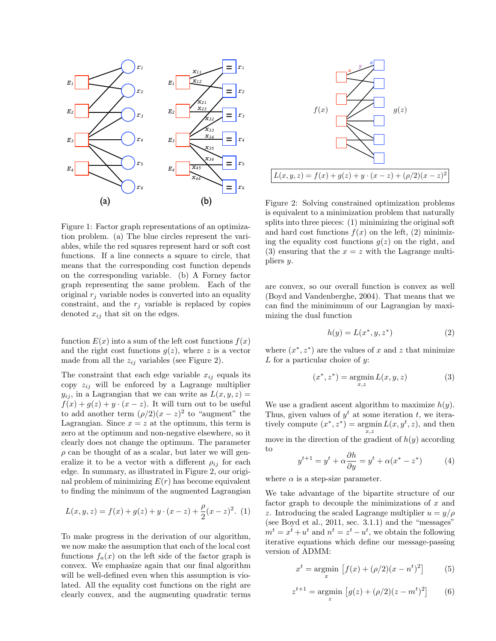

Figure 1: Factor graph representations of an optimization problem. (a) The blue circles represent the variables, while the red squares represent hard or soft cost functions. If a line connects a square to circle, that means that the corresponding cost function depends on the corresponding variable. (b) A Forney factor graph representing the same problem. Each of the original  $r_i$  variable nodes is converted into an equality constraint, and the  $r_i$  variable is replaced by copies denoted  $x_{ij}$  that sit on the edges.

function  $E(x)$  into a sum of the left cost functions  $f(x)$ and the right cost functions  $g(z)$ , where z is a vector made from all the  $z_{ij}$  variables (see Figure 2).

The constraint that each edge variable  $x_{ij}$  equals its copy  $z_{ij}$  will be enforced by a Lagrange multiplier  $y_{ij}$ , in a Lagrangian that we can write as  $L(x, y, z) =$  $f(x) + g(z) + y \cdot (x - z)$ . It will turn out to be useful to add another term  $(\rho/2)(x-z)^2$  to "augment" the Lagrangian. Since  $x = z$  at the optimum, this term is zero at the optimum and non-negative elsewhere, so it clearly does not change the optimum. The parameter  $\rho$  can be thought of as a scalar, but later we will generalize it to be a vector with a different  $\rho_{ij}$  for each edge. In summary, as illustrated in Figure 2, our original problem of minimizing  $E(r)$  has become equivalent to finding the minimum of the augmented Lagrangian

$$
L(x, y, z) = f(x) + g(z) + y \cdot (x - z) + \frac{\rho}{2}(x - z)^2.
$$
 (1)

To make progress in the derivation of our algorithm, we now make the assumption that each of the local cost functions  $f_a(x)$  on the left side of the factor graph is convex. We emphasize again that our final algorithm will be well-defined even when this assumption is violated. All the equality cost functions on the right are clearly convex, and the augmenting quadratic terms



Figure 2: Solving constrained optimization problems is equivalent to a minimization problem that naturally splits into three pieces: (1) minimizing the original soft and hard cost functions  $f(x)$  on the left, (2) minimizing the equality cost functions  $q(z)$  on the right, and (3) ensuring that the  $x = z$  with the Lagrange multipliers y.

are convex, so our overall function is convex as well (Boyd and Vandenberghe, 2004). That means that we can find the minimimum of our Lagrangian by maximizing the dual function

$$
h(y) = L(x^*, y, z^*)
$$
\n<sup>(2)</sup>

where  $(x^*, z^*)$  are the values of x and z that minimize  $L$  for a particular choice of  $y$ :

$$
(x^*, z^*) = \underset{x,z}{\text{argmin}} L(x, y, z) \tag{3}
$$

We use a gradient ascent algorithm to maximize  $h(y)$ . Thus, given values of  $y<sup>t</sup>$  at some iteration t, we iteratively compute  $(x^*, z^*) = \operatorname*{argmin}_{x,z} L(x, y^t, z)$ , and then move in the direction of the gradient of  $h(y)$  according to

$$
y^{t+1} = y^t + \alpha \frac{\partial h}{\partial y} = y^t + \alpha (x^* - z^*)
$$
 (4)

where  $\alpha$  is a step-size parameter.

We take advantage of the bipartite structure of our factor graph to decouple the minimizations of  $x$  and z. Introducing the scaled Lagrange multiplier  $u = y/\rho$ (see Boyd et al., 2011, sec. 3.1.1) and the "messages"  $m^t = x^t + u^t$  and  $n^t = z^t - u^t$ , we obtain the following iterative equations which define our message-passing version of ADMM:

$$
x^{t} = \underset{x}{\text{argmin}} [f(x) + (\rho/2)(x - n^{t})^{2}] \tag{5}
$$

$$
z^{t+1} = \underset{z}{\text{argmin}} \left[ g(z) + (\rho/2)(z - m^t)^2 \right] \tag{6}
$$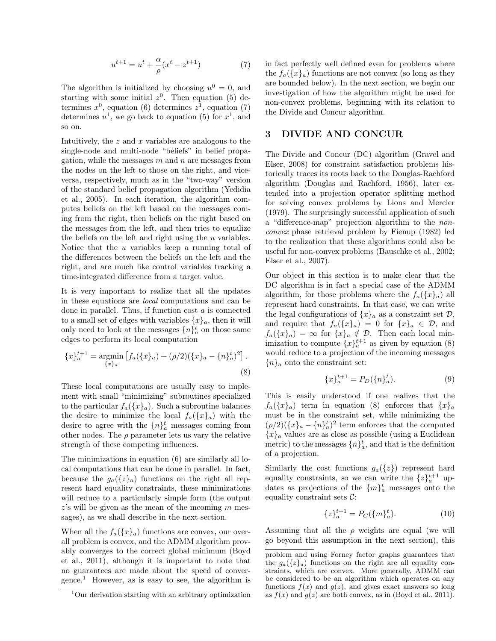$$
u^{t+1} = u^t + \frac{\alpha}{\rho}(x^t - z^{t+1})
$$
 (7)

The algorithm is initialized by choosing  $u^0 = 0$ , and starting with some initial  $z<sup>0</sup>$ . Then equation (5) determines  $x^0$ , equation (6) determines  $z^1$ , equation (7) determines  $u^1$ , we go back to equation (5) for  $x^1$ , and so on.

Intuitively, the  $z$  and  $x$  variables are analogous to the single-node and multi-node "beliefs" in belief propagation, while the messages  $m$  and  $n$  are messages from the nodes on the left to those on the right, and viceversa, respectively, much as in the "two-way" version of the standard belief propagation algorithm (Yedidia et al., 2005). In each iteration, the algorithm computes beliefs on the left based on the messages coming from the right, then beliefs on the right based on the messages from the left, and then tries to equalize the beliefs on the left and right using the  $u$  variables. Notice that the u variables keep a running total of the differences between the beliefs on the left and the right, and are much like control variables tracking a time-integrated difference from a target value.

It is very important to realize that all the updates in these equations are local computations and can be done in parallel. Thus, if function  $\cos t$  a is connected to a small set of edges with variables  $\{x\}_a$ , then it will only need to look at the messages  $\{n\}_a^t$  on those same edges to perform its local computation

$$
\{x\}_{a}^{t+1} = \underset{\{x\}_{a}}{\operatorname{argmin}} \left[ f_a(\{x\}_a) + (\rho/2)(\{x\}_a - \{n\}_a^t)^2 \right].
$$
\n(8)

These local computations are usually easy to implement with small "minimizing" subroutines specialized to the particular  $f_a({x}_a)$ . Such a subroutine balances the desire to minimize the local  $f_a({x}_a)$  with the desire to agree with the  $\{n\}_a^t$  messages coming from other nodes. The  $\rho$  parameter lets us vary the relative strength of these competing influences.

The minimizations in equation (6) are similarly all local computations that can be done in parallel. In fact, because the  $g_a({z}_a)$  functions on the right all represent hard equality constraints, these minimizations will reduce to a particularly simple form (the output  $z$ 's will be given as the mean of the incoming m messages), as we shall describe in the next section.

When all the  $f_a({x}_a)$  functions are convex, our overall problem is convex, and the ADMM algorithm provably converges to the correct global minimum (Boyd et al., 2011), although it is important to note that no guarantees are made about the speed of conver- $\mu$ gence.<sup>1</sup> However, as is easy to see, the algorithm is in fact perfectly well defined even for problems where the  $f_a({x}_a)$  functions are not convex (so long as they are bounded below). In the next section, we begin our investigation of how the algorithm might be used for non-convex problems, beginning with its relation to the Divide and Concur algorithm.

#### 3 DIVIDE AND CONCUR

The Divide and Concur (DC) algorithm (Gravel and Elser, 2008) for constraint satisfaction problems historically traces its roots back to the Douglas-Rachford algorithm (Douglas and Rachford, 1956), later extended into a projection operator splitting method for solving convex problems by Lions and Mercier (1979). The surprisingly successful application of such a "difference-map" projection algorithm to the nonconvex phase retrieval problem by Fienup (1982) led to the realization that these algorithms could also be useful for non-convex problems (Bauschke et al., 2002; Elser et al., 2007).

Our object in this section is to make clear that the DC algorithm is in fact a special case of the ADMM algorithm, for those problems where the  $f_a({x}_a)$  all represent hard constraints. In that case, we can write the legal configurations of  $\{x\}_a$  as a constraint set  $\mathcal{D}$ , and require that  $f_a({x}_a) = 0$  for  ${x}_a \in \mathcal{D}$ , and  $f_a({x}_a) = \infty$  for  ${x}_a \notin \mathcal{D}$ . Then each local minimization to compute  $\{x\}_{a}^{t+1}$  as given by equation (8) would reduce to a projection of the incoming messages  ${n}_a$  onto the constraint set:

$$
\{x\}_{a}^{t+1} = P_D(\{n\}_{a}^t). \tag{9}
$$

This is easily understood if one realizes that the  $f_a({x}_a)$  term in equation (8) enforces that  ${x}_a$ must be in the constraint set, while minimizing the  $(\rho/2)(\{x\}_a - \{n\}_a^t)^2$  term enforces that the computed  ${x}_a$  values are as close as possible (using a Euclidean metric) to the messages  $\{n\}_a^t$ , and that is the definition of a projection.

Similarly the cost functions  $g_a({z})$  represent hard equality constraints, so we can write the  $\{z\}_a^{t+1}$  updates as projections of the  $\{m\}_a^t$  messages onto the equality constraint sets  $\mathcal{C}$ :

$$
\{z\}_{a}^{t+1} = P_C(\{m\}_{a}^t). \tag{10}
$$

Assuming that all the  $\rho$  weights are equal (we will go beyond this assumption in the next section), this

<sup>1</sup>Our derivation starting with an arbitrary optimization

problem and using Forney factor graphs guarantees that the  $g_a({z}_a)$  functions on the right are all equality constraints, which are convex. More generally, ADMM can be considered to be an algorithm which operates on any functions  $f(x)$  and  $g(z)$ , and gives exact answers so long as  $f(x)$  and  $g(z)$  are both convex, as in (Boyd et al., 2011).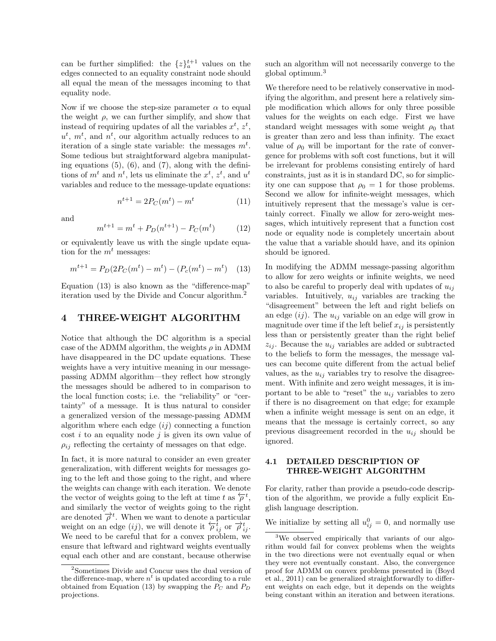can be further simplified: the  $\{z\}_{a}^{t+1}$  values on the edges connected to an equality constraint node should all equal the mean of the messages incoming to that equality node.

Now if we choose the step-size parameter  $\alpha$  to equal the weight  $\rho$ , we can further simplify, and show that instead of requiring updates of all the variables  $x^t, z^t$ ,  $u^t$ ,  $m^t$ , and  $n^t$ , our algorithm actually reduces to an iteration of a single state variable: the messages  $m<sup>t</sup>$ . Some tedious but straightforward algebra manipulating equations  $(5)$ ,  $(6)$ , and  $(7)$ , along with the definitions of  $m<sup>t</sup>$  and  $n<sup>t</sup>$ , lets us eliminate the  $x<sup>t</sup>$ ,  $z<sup>t</sup>$ , and  $u<sup>t</sup>$ variables and reduce to the message-update equations:

$$
n^{t+1} = 2P_C(m^t) - m^t \tag{11}
$$

and

$$
m^{t+1} = m^t + P_D(n^{t+1}) - P_C(m^t)
$$
 (12)

or equivalently leave us with the single update equation for the  $m<sup>t</sup>$  messages:

$$
m^{t+1} = P_D(2P_C(m^t) - m^t) - (P_c(m^t) - m^t) \quad (13)
$$

Equation (13) is also known as the "difference-map" iteration used by the Divide and Concur algorithm.<sup>2</sup>

#### 4 THREE-WEIGHT ALGORITHM

Notice that although the DC algorithm is a special case of the ADMM algorithm, the weights  $\rho$  in ADMM have disappeared in the DC update equations. These weights have a very intuitive meaning in our messagepassing ADMM algorithm—they reflect how strongly the messages should be adhered to in comparison to the local function costs; i.e. the "reliability" or "certainty" of a message. It is thus natural to consider a generalized version of the message-passing ADMM algorithm where each edge  $(ij)$  connecting a function cost  $i$  to an equality node  $j$  is given its own value of  $\rho_{ij}$  reflecting the certainty of messages on that edge.

In fact, it is more natural to consider an even greater generalization, with different weights for messages going to the left and those going to the right, and where the weights can change with each iteration. We denote the vector of weights going to the left at time t as  $\overleftarrow{\rho}^t$ , and similarly the vector of weights going to the right are denoted  $\overrightarrow{\rho}^t$ . When we want to denote a particular weight on an edge  $(ij)$ , we will denote it  $\overleftarrow{\rho}_{ij}^t$  or  $\overrightarrow{\rho}_{ij}^t$ . We need to be careful that for a convex problem, we ensure that leftward and rightward weights eventually equal each other and are constant, because otherwise

such an algorithm will not necessarily converge to the global optimum.<sup>3</sup>

We therefore need to be relatively conservative in modifying the algorithm, and present here a relatively simple modification which allows for only three possible values for the weights on each edge. First we have standard weight messages with some weight  $\rho_0$  that is greater than zero and less than infinity. The exact value of  $\rho_0$  will be important for the rate of convergence for problems with soft cost functions, but it will be irrelevant for problems consisting entirely of hard constraints, just as it is in standard DC, so for simplicity one can suppose that  $\rho_0 = 1$  for those problems. Second we allow for infinite-weight messages, which intuitively represent that the message's value is certainly correct. Finally we allow for zero-weight messages, which intuitively represent that a function cost node or equality node is completely uncertain about the value that a variable should have, and its opinion should be ignored.

In modifying the ADMM message-passing algorithm to allow for zero weights or infinite weights, we need to also be careful to properly deal with updates of  $u_{ij}$ variables. Intuitively,  $u_{ij}$  variables are tracking the "disagreement" between the left and right beliefs on an edge  $(ij)$ . The  $u_{ij}$  variable on an edge will grow in magnitude over time if the left belief  $x_{ij}$  is persistently less than or persistently greater than the right belief  $z_{ij}$ . Because the  $u_{ij}$  variables are added or subtracted to the beliefs to form the messages, the message values can become quite different from the actual belief values, as the  $u_{ij}$  variables try to resolve the disagreement. With infinite and zero weight messages, it is important to be able to "reset" the  $u_{ij}$  variables to zero if there is no disagreement on that edge; for example when a infinite weight message is sent on an edge, it means that the message is certainly correct, so any previous disagreement recorded in the  $u_{ij}$  should be ignored.

#### 4.1 DETAILED DESCRIPTION OF THREE-WEIGHT ALGORITHM

For clarity, rather than provide a pseudo-code description of the algorithm, we provide a fully explicit English language description.

We initialize by setting all  $u_{ij}^0 = 0$ , and normally use

<sup>2</sup>Sometimes Divide and Concur uses the dual version of the difference-map, where  $n<sup>t</sup>$  is updated according to a rule obtained from Equation (13) by swapping the  $P_C$  and  $P_D$ projections.

<sup>&</sup>lt;sup>3</sup>We observed empirically that variants of our algorithm would fail for convex problems when the weights in the two directions were not eventually equal or when they were not eventually constant. Also, the convergence proof for ADMM on convex problems presented in (Boyd et al., 2011) can be generalized straightforwardly to different weights on each edge, but it depends on the weights being constant within an iteration and between iterations.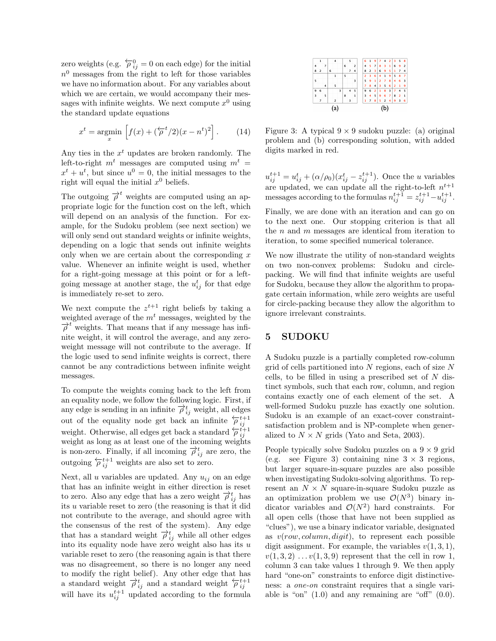zero weights (e.g.  $\overleftarrow{\rho}_{ij}^0 = 0$  on each edge) for the initial  $n<sup>0</sup>$  messages from the right to left for those variables we have no information about. For any variables about which we are certain, we would accompany their messages with infinite weights. We next compute  $x^0$  using the standard update equations

$$
x^{t} = \underset{x}{\operatorname{argmin}} \left[ f(x) + (\overleftarrow{\rho}^{t}/2)(x - n^{t})^{2} \right]. \tag{14}
$$

Any ties in the  $x<sup>t</sup>$  updates are broken randomly. The left-to-right  $m<sup>t</sup>$  messages are computed using  $m<sup>t</sup>$  =  $x^{t} + u^{t}$ , but since  $u^{0} = 0$ , the initial messages to the right will equal the initial  $x^0$  beliefs.

The outgoing  $\overrightarrow{\rho}^t$  weights are computed using an appropriate logic for the function cost on the left, which will depend on an analysis of the function. For example, for the Sudoku problem (see next section) we will only send out standard weights or infinite weights, depending on a logic that sends out infinite weights only when we are certain about the corresponding  $x$ value. Whenever an infinite weight is used, whether for a right-going message at this point or for a leftgoing message at another stage, the  $u_{ij}^t$  for that edge is immediately re-set to zero.

We next compute the  $z^{t+1}$  right beliefs by taking a weighted average of the  $m<sup>t</sup>$  messages, weighted by the  $\overrightarrow{\rho}^t$  weights. That means that if any message has infinite weight, it will control the average, and any zeroweight message will not contribute to the average. If the logic used to send infinite weights is correct, there cannot be any contradictions between infinite weight messages.

To compute the weights coming back to the left from an equality node, we follow the following logic. First, if any edge is sending in an infinite  $\overrightarrow{\rho}_{ij}^t$  weight, all edges out of the equality node get back an infinite  $\overleftarrow{p}_{ij}^{t+1}$ <br>weight. Otherwise, all edges get back a standard  $\overleftarrow{p}_{ij}^{t+1}$ weight as long as at least one of the incoming weights is non-zero. Finally, if all incoming  $\overrightarrow{\rho}_{ij}^t$  are zero, the outgoing  $\overleftarrow{\rho}^{t+1}_{ij}$  weights are also set to zero.

Next, all u variables are updated. Any  $u_{ij}$  on an edge that has an infinite weight in either direction is reset to zero. Also any edge that has a zero weight  $\overrightarrow{\rho}_{ij}^t$  has its u variable reset to zero (the reasoning is that it did not contribute to the average, and should agree with the consensus of the rest of the system). Any edge that has a standard weight  $\overrightarrow{\rho}_{ij}^t$  while all other edges into its equality node have zero weight also has its  $u$ variable reset to zero (the reasoning again is that there was no disagreement, so there is no longer any need to modify the right belief). Any other edge that has a standard weight  $\overrightarrow{\rho}_{ij}^t$  and a standard weight  $\overleftarrow{\rho}_{ij}^{t+1}$ will have its  $u_{ij}^{t+1}$  updated according to the formula



Figure 3: A typical  $9 \times 9$  sudoku puzzle: (a) original problem and (b) corresponding solution, with added digits marked in red.

 $u_{ij}^{t+1} = u_{ij}^t + (\alpha/\rho_0)(x_{ij}^t - z_{ij}^{t+1})$ . Once the u variables are updated, we can update all the right-to-left  $n^{t+1}$ messages according to the formulas  $n_{ij}^{t+1} = z_{ij}^{t+1} - u_{ij}^{t+1}$ .

Finally, we are done with an iteration and can go on to the next one. Our stopping criterion is that all the  $n$  and  $m$  messages are identical from iteration to iteration, to some specified numerical tolerance.

We now illustrate the utility of non-standard weights on two non-convex problems: Sudoku and circlepacking. We will find that infinite weights are useful for Sudoku, because they allow the algorithm to propagate certain information, while zero weights are useful for circle-packing because they allow the algorithm to ignore irrelevant constraints.

#### 5 SUDOKU

A Sudoku puzzle is a partially completed row-column grid of cells partitioned into  $N$  regions, each of size  $N$ cells, to be filled in using a prescribed set of  $N$  distinct symbols, such that each row, column, and region contains exactly one of each element of the set. A well-formed Sudoku puzzle has exactly one solution. Sudoku is an example of an exact-cover constraintsatisfaction problem and is NP-complete when generalized to  $N \times N$  grids (Yato and Seta, 2003).

People typically solve Sudoku puzzles on a  $9 \times 9$  grid (e.g. see Figure 3) containing nine  $3 \times 3$  regions, but larger square-in-square puzzles are also possible when investigating Sudoku-solving algorithms. To represent an  $N \times N$  square-in-square Sudoku puzzle as an optimization problem we use  $\mathcal{O}(N^3)$  binary indicator variables and  $\mathcal{O}(N^2)$  hard constraints. For all open cells (those that have not been supplied as "clues"), we use a binary indicator variable, designated as  $v(row, column, digit)$ , to represent each possible digit assignment. For example, the variables  $v(1, 3, 1)$ ,  $v(1, 3, 2) \ldots v(1, 3, 9)$  represent that the cell in row 1, column 3 can take values 1 through 9. We then apply hard "one-on" constraints to enforce digit distinctiveness: a one-on constraint requires that a single variable is "on"  $(1.0)$  and any remaining are "off"  $(0.0)$ .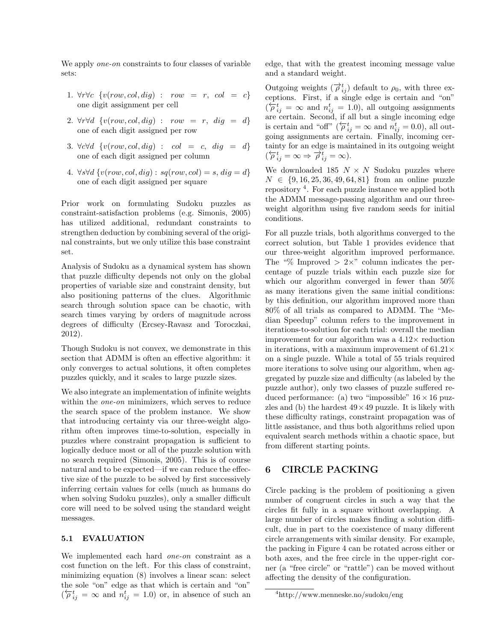We apply *one-on* constraints to four classes of variable sets:

- 1.  $\forall r \forall c \ \{v(row, col, dig) \ : \ row = r, \ col = c\}$ one digit assignment per cell
- 2.  $\forall r \forall d \ \{v(row, col, dig) : row = r, dig = d\}$ one of each digit assigned per row
- 3.  $\forall c \forall d \ \{v(row, col, dig) \ : \ col \ = \ c, \ dig \ = \ d\}$ one of each digit assigned per column
- 4.  $\forall s \forall d \{v(row, col, dig) : sq(row, col) = s, dig = d\}$ one of each digit assigned per square

Prior work on formulating Sudoku puzzles as constraint-satisfaction problems (e.g. Simonis, 2005) has utilized additional, redundant constraints to strengthen deduction by combining several of the original constraints, but we only utilize this base constraint set.

Analysis of Sudoku as a dynamical system has shown that puzzle difficulty depends not only on the global properties of variable size and constraint density, but also positioning patterns of the clues. Algorithmic search through solution space can be chaotic, with search times varying by orders of magnitude across degrees of difficulty (Ercsey-Ravasz and Toroczkai, 2012).

Though Sudoku is not convex, we demonstrate in this section that ADMM is often an effective algorithm: it only converges to actual solutions, it often completes puzzles quickly, and it scales to large puzzle sizes.

We also integrate an implementation of infinite weights within the *one-on* minimizers, which serves to reduce the search space of the problem instance. We show that introducing certainty via our three-weight algorithm often improves time-to-solution, especially in puzzles where constraint propagation is sufficient to logically deduce most or all of the puzzle solution with no search required (Simonis, 2005). This is of course natural and to be expected—if we can reduce the effective size of the puzzle to be solved by first successively inferring certain values for cells (much as humans do when solving Sudoku puzzles), only a smaller difficult core will need to be solved using the standard weight messages.

#### 5.1 EVALUATION

We implemented each hard one-on constraint as a cost function on the left. For this class of constraint, minimizing equation (8) involves a linear scan: select the sole "on" edge as that which is certain and "on"  $(\overleftarrow{\rho}_{ij}^t = \infty \text{ and } n_{ij}^t = 1.0) \text{ or, in absence of such an}$ 

edge, that with the greatest incoming message value and a standard weight.

Outgoing weights  $(\overrightarrow{\rho}_{ij}^t)$  default to  $\rho_0$ , with three exceptions. First, if a single edge is certain and "on"  $(\overleftarrow{\rho}_{ij}^t = \infty \text{ and } n_{ij}^t = 1.0)$ , all outgoing assignments are certain. Second, if all but a single incoming edge is certain and "off" ( $\overleftarrow{\rho}_{ij}^t = \infty$  and  $n_{ij}^t = 0.0$ ), all outgoing assignments are certain. Finally, incoming certainty for an edge is maintained in its outgoing weight  $(\overleftarrow{\rho}_{ij}^t = \infty \Rightarrow \overrightarrow{\rho}_{ij}^t = \infty).$ 

We downloaded 185  $N \times N$  Sudoku puzzles where  $N \in \{9, 16, 25, 36, 49, 64, 81\}$  from an online puzzle repository <sup>4</sup> . For each puzzle instance we applied both the ADMM message-passing algorithm and our threeweight algorithm using five random seeds for initial conditions.

For all puzzle trials, both algorithms converged to the correct solution, but Table 1 provides evidence that our three-weight algorithm improved performance. The "% Improved  $> 2\times$ " column indicates the percentage of puzzle trials within each puzzle size for which our algorithm converged in fewer than 50% as many iterations given the same initial conditions: by this definition, our algorithm improved more than 80% of all trials as compared to ADMM. The "Median Speedup" column refers to the improvement in iterations-to-solution for each trial: overall the median improvement for our algorithm was a  $4.12\times$  reduction in iterations, with a maximum improvement of  $61.21\times$ on a single puzzle. While a total of 55 trials required more iterations to solve using our algorithm, when aggregated by puzzle size and difficulty (as labeled by the puzzle author), only two classes of puzzle suffered reduced performance: (a) two "impossible"  $16 \times 16$  puzzles and (b) the hardest  $49 \times 49$  puzzle. It is likely with these difficulty ratings, constraint propagation was of little assistance, and thus both algorithms relied upon equivalent search methods within a chaotic space, but from different starting points.

## 6 CIRCLE PACKING

Circle packing is the problem of positioning a given number of congruent circles in such a way that the circles fit fully in a square without overlapping. A large number of circles makes finding a solution difficult, due in part to the coexistence of many different circle arrangements with similar density. For example, the packing in Figure 4 can be rotated across either or both axes, and the free circle in the upper-right corner (a "free circle" or "rattle") can be moved without affecting the density of the configuration.

<sup>4</sup>http://www.menneske.no/sudoku/eng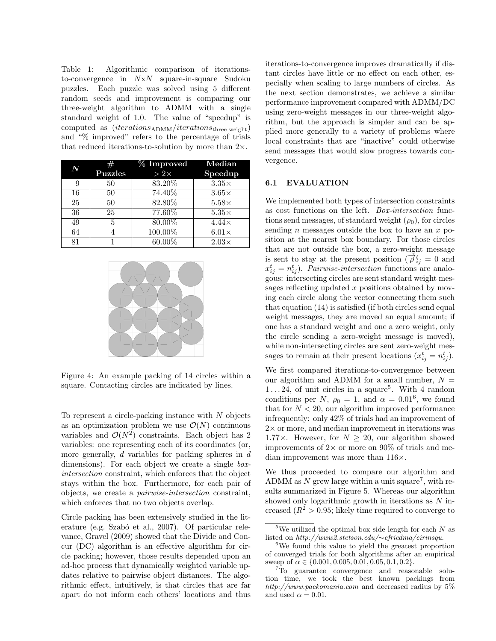Table 1: Algorithmic comparison of iterationsto-convergence in NxN square-in-square Sudoku puzzles. Each puzzle was solved using 5 different random seeds and improvement is comparing our three-weight algorithm to ADMM with a single standard weight of 1.0. The value of "speedup" is computed as  $(iterations_{\text{ADMM}}/iterations_{\text{three weight}})$ and "% improved" refers to the percentage of trials that reduced iterations-to-solution by more than  $2 \times$ .

| N  | #<br><b>Puzzles</b> | % Improved<br>$>2\times$ | $\operatorname*{Median}% \operatorname*{grad}\nolimits_{\mathbb{Z}}\left( \mathcal{N}_{1}\right) =\operatorname*{grad}\nolimits_{\operatorname*{diag}\nolimits_{\mathbb{Z}}\left( \mathcal{N}_{2}\right) }%$<br>Speedup |
|----|---------------------|--------------------------|-------------------------------------------------------------------------------------------------------------------------------------------------------------------------------------------------------------------------|
| 9  | 50                  | 83.20%                   | $3.35\times$                                                                                                                                                                                                            |
| 16 | 50                  | 74.40%                   | $3.65\times$                                                                                                                                                                                                            |
| 25 | 50                  | 82.80%                   | $5.58\times$                                                                                                                                                                                                            |
| 36 | 25                  | 77.60%                   | $5.35\times$                                                                                                                                                                                                            |
| 49 | 5                   | 80.00%                   | $4.44\times$                                                                                                                                                                                                            |
| 64 |                     | 100.00%                  | $6.01\times$                                                                                                                                                                                                            |
| 81 |                     | $60.00\%$                | $2.03\times$                                                                                                                                                                                                            |



Figure 4: An example packing of 14 circles within a square. Contacting circles are indicated by lines.

To represent a circle-packing instance with N objects as an optimization problem we use  $\mathcal{O}(N)$  continuous variables and  $\mathcal{O}(N^2)$  constraints. Each object has 2 variables: one representing each of its coordinates (or, more generally,  $d$  variables for packing spheres in  $d$ dimensions). For each object we create a single *box*intersection constraint, which enforces that the object stays within the box. Furthermore, for each pair of objects, we create a pairwise-intersection constraint, which enforces that no two objects overlap.

Circle packing has been extensively studied in the literature (e.g. Szabó et al., 2007). Of particular relevance, Gravel (2009) showed that the Divide and Concur (DC) algorithm is an effective algorithm for circle packing; however, those results depended upon an ad-hoc process that dynamically weighted variable updates relative to pairwise object distances. The algorithmic effect, intuitively, is that circles that are far apart do not inform each others' locations and thus

iterations-to-convergence improves dramatically if distant circles have little or no effect on each other, especially when scaling to large numbers of circles. As the next section demonstrates, we achieve a similar performance improvement compared with ADMM/DC using zero-weight messages in our three-weight algorithm, but the approach is simpler and can be applied more generally to a variety of problems where local constraints that are "inactive" could otherwise send messages that would slow progress towards convergence.

#### 6.1 EVALUATION

We implemented both types of intersection constraints as cost functions on the left. Box-intersection functions send messages, of standard weight  $(\rho_0)$ , for circles sending  $n$  messages outside the box to have an  $x$  position at the nearest box boundary. For those circles that are not outside the box, a zero-weight message is sent to stay at the present position  $(\overrightarrow{\rho}_{ij}^t = 0)$  and  $x_{ij}^t = n_{ij}^t$ ). Pairwise-intersection functions are analogous: intersecting circles are sent standard weight messages reflecting updated x positions obtained by moving each circle along the vector connecting them such that equation (14) is satisfied (if both circles send equal weight messages, they are moved an equal amount; if one has a standard weight and one a zero weight, only the circle sending a zero-weight message is moved), while non-intersecting circles are sent zero-weight messages to remain at their present locations  $(x_{ij}^t = n_{ij}^t)$ .

We first compared iterations-to-convergence between our algorithm and ADMM for a small number,  $N =$  $1 \ldots 24$ , of unit circles in a square<sup>5</sup>. With 4 random conditions per N,  $\rho_0 = 1$ , and  $\alpha = 0.01^6$ , we found that for  $N < 20$ , our algorithm improved performance infrequently: only 42% of trials had an improvement of  $2\times$  or more, and median improvement in iterations was 1.77 $\times$ . However, for  $N > 20$ , our algorithm showed improvements of  $2 \times$  or more on 90% of trials and median improvement was more than 116×.

We thus proceeded to compare our algorithm and ADMM as  $N$  grew large within a unit square<sup>7</sup>, with results summarized in Figure 5. Whereas our algorithm showed only logarithmic growth in iterations as  $N$  increased  $(R^2 > 0.95$ ; likely time required to converge to

<sup>&</sup>lt;sup>5</sup>We utilized the optimal box side length for each  $N$  as listed on http://www2.stetson.edu/∼efriedma/cirinsqu.

<sup>6</sup>We found this value to yield the greatest proportion of converged trials for both algorithms after an empirical sweep of  $\alpha \in \{0.001, 0.005, 0.01, 0.05, 0.1, 0.2\}.$ 

<sup>7</sup>To guarantee convergence and reasonable solution time, we took the best known packings from http://www.packomania.com and decreased radius by 5% and used  $\alpha = 0.01$ .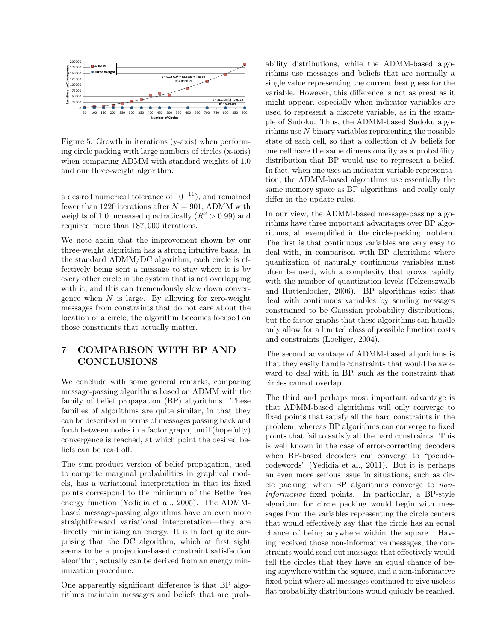

Figure 5: Growth in iterations (y-axis) when performing circle packing with large numbers of circles (x-axis) when comparing ADMM with standard weights of 1.0 and our three-weight algorithm.

a desired numerical tolerance of  $10^{-11}$ ), and remained fewer than 1220 iterations after  $N = 901$ , ADMM with weights of 1.0 increased quadratically  $(R^2 > 0.99)$  and required more than 187, 000 iterations.

We note again that the improvement shown by our three-weight algorithm has a strong intuitive basis. In the standard ADMM/DC algorithm, each circle is effectively being sent a message to stay where it is by every other circle in the system that is not overlapping with it, and this can tremendously slow down convergence when  $N$  is large. By allowing for zero-weight messages from constraints that do not care about the location of a circle, the algorithm becomes focused on those constraints that actually matter.

# 7 COMPARISON WITH BP AND CONCLUSIONS

We conclude with some general remarks, comparing message-passing algorithms based on ADMM with the family of belief propagation (BP) algorithms. These families of algorithms are quite similar, in that they can be described in terms of messages passing back and forth between nodes in a factor graph, until (hopefully) convergence is reached, at which point the desired beliefs can be read off.

The sum-product version of belief propagation, used to compute marginal probabilities in graphical models, has a variational interpretation in that its fixed points correspond to the minimum of the Bethe free energy function (Yedidia et al., 2005). The ADMMbased message-passing algorithms have an even more straightforward variational interpretation—they are directly minimizing an energy. It is in fact quite surprising that the DC algorithm, which at first sight seems to be a projection-based constraint satisfaction algorithm, actually can be derived from an energy minimization procedure.

One apparently significant difference is that BP algorithms maintain messages and beliefs that are prob-

ability distributions, while the ADMM-based algorithms use messages and beliefs that are normally a single value representing the current best guess for the variable. However, this difference is not as great as it might appear, especially when indicator variables are used to represent a discrete variable, as in the example of Sudoku. Thus, the ADMM-based Sudoku algorithms use N binary variables representing the possible state of each cell, so that a collection of N beliefs for one cell have the same dimensionality as a probability distribution that BP would use to represent a belief. In fact, when one uses an indicator variable representation, the ADMM-based algorithms use essentially the same memory space as BP algorithms, and really only differ in the update rules.

In our view, the ADMM-based message-passing algorithms have three important advantages over BP algorithms, all exemplified in the circle-packing problem. The first is that continuous variables are very easy to deal with, in comparison with BP algorithms where quantization of naturally continuous variables must often be used, with a complexity that grows rapidly with the number of quantization levels (Felzenszwalb and Huttenlocher, 2006). BP algorithms exist that deal with continuous variables by sending messages constrained to be Gaussian probability distributions, but the factor graphs that these algorithms can handle only allow for a limited class of possible function costs and constraints (Loeliger, 2004).

The second advantage of ADMM-based algorithms is that they easily handle constraints that would be awkward to deal with in BP, such as the constraint that circles cannot overlap.

The third and perhaps most important advantage is that ADMM-based algorithms will only converge to fixed points that satisfy all the hard constraints in the problem, whereas BP algorithms can converge to fixed points that fail to satisfy all the hard constraints. This is well known in the case of error-correcting decoders when BP-based decoders can converge to "pseudocodewords" (Yedidia et al., 2011). But it is perhaps an even more serious issue in situations, such as circle packing, when BP algorithms converge to noninformative fixed points. In particular, a BP-style algorithm for circle packing would begin with messages from the variables representing the circle centers that would effectively say that the circle has an equal chance of being anywhere within the square. Having received those non-informative messages, the constraints would send out messages that effectively would tell the circles that they have an equal chance of being anywhere within the square, and a non-informative fixed point where all messages continued to give useless flat probability distributions would quickly be reached.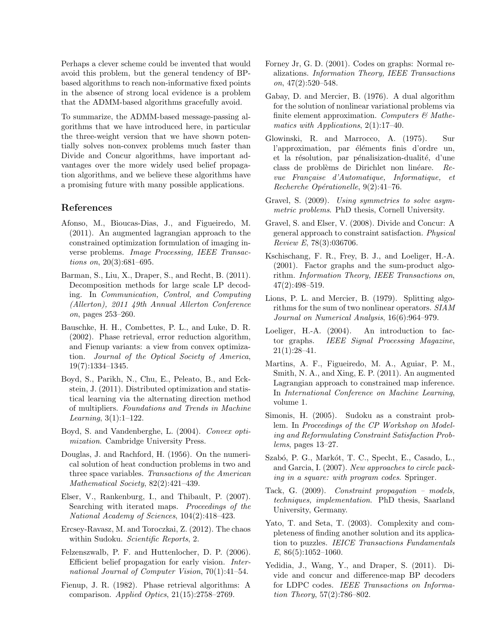Perhaps a clever scheme could be invented that would avoid this problem, but the general tendency of BPbased algorithms to reach non-informative fixed points in the absence of strong local evidence is a problem that the ADMM-based algorithms gracefully avoid.

To summarize, the ADMM-based message-passing algorithms that we have introduced here, in particular the three-weight version that we have shown potentially solves non-convex problems much faster than Divide and Concur algorithms, have important advantages over the more widely used belief propagation algorithms, and we believe these algorithms have a promising future with many possible applications.

#### References

- Afonso, M., Bioucas-Dias, J., and Figueiredo, M. (2011). An augmented lagrangian approach to the constrained optimization formulation of imaging inverse problems. Image Processing, IEEE Transactions on, 20(3):681–695.
- Barman, S., Liu, X., Draper, S., and Recht, B. (2011). Decomposition methods for large scale LP decoding. In Communication, Control, and Computing (Allerton), 2011 49th Annual Allerton Conference on, pages 253–260.
- Bauschke, H. H., Combettes, P. L., and Luke, D. R. (2002). Phase retrieval, error reduction algorithm, and Fienup variants: a view from convex optimization. Journal of the Optical Society of America, 19(7):1334–1345.
- Boyd, S., Parikh, N., Chu, E., Peleato, B., and Eckstein, J. (2011). Distributed optimization and statistical learning via the alternating direction method of multipliers. Foundations and Trends in Machine Learning, 3(1):1–122.
- Boyd, S. and Vandenberghe, L. (2004). Convex optimization. Cambridge University Press.
- Douglas, J. and Rachford, H. (1956). On the numerical solution of heat conduction problems in two and three space variables. Transactions of the American Mathematical Society, 82(2):421–439.
- Elser, V., Rankenburg, I., and Thibault, P. (2007). Searching with iterated maps. Proceedings of the National Academy of Sciences, 104(2):418–423.
- Ercsey-Ravasz, M. and Toroczkai, Z. (2012). The chaos within Sudoku. Scientific Reports, 2.
- Felzenszwalb, P. F. and Huttenlocher, D. P. (2006). Efficient belief propagation for early vision. International Journal of Computer Vision, 70(1):41–54.
- Fienup, J. R. (1982). Phase retrieval algorithms: A comparison. Applied Optics, 21(15):2758–2769.
- Forney Jr, G. D. (2001). Codes on graphs: Normal realizations. Information Theory, IEEE Transactions on,  $47(2):520-548$ .
- Gabay, D. and Mercier, B. (1976). A dual algorithm for the solution of nonlinear variational problems via finite element approximation. Computers  $\mathcal{B}$  Mathematics with Applications, 2(1):17–40.
- Glowinski, R. and Marrocco, A. (1975). Sur l'approximation, par éléments finis d'ordre un, et la résolution, par pénalisization-dualité, d'une class de problèms de Dirichlet non linéare. Revue Française d'Automatique, Informatique, et  $Recherche Opérationelle, 9(2):41–76.$
- Gravel, S. (2009). Using symmetries to solve asymmetric problems. PhD thesis, Cornell University.
- Gravel, S. and Elser, V. (2008). Divide and Concur: A general approach to constraint satisfaction. Physical Review E, 78(3):036706.
- Kschischang, F. R., Frey, B. J., and Loeliger, H.-A. (2001). Factor graphs and the sum-product algorithm. Information Theory, IEEE Transactions on, 47(2):498–519.
- Lions, P. L. and Mercier, B. (1979). Splitting algorithms for the sum of two nonlinear operators. SIAM Journal on Numerical Analysis, 16(6):964–979.
- Loeliger, H.-A. (2004). An introduction to factor graphs. IEEE Signal Processing Magazine,  $21(1):28-41.$
- Martins, A. F., Figueiredo, M. A., Aguiar, P. M., Smith, N. A., and Xing, E. P. (2011). An augmented Lagrangian approach to constrained map inference. In International Conference on Machine Learning, volume 1.
- Simonis, H. (2005). Sudoku as a constraint problem. In Proceedings of the CP Workshop on Modeling and Reformulating Constraint Satisfaction Problems, pages 13–27.
- Szabó, P. G., Markót, T. C., Specht, E., Casado, L., and Garcia, I. (2007). New approaches to circle packing in a square: with program codes. Springer.
- Tack, G. (2009). Constraint propagation models, techniques, implementation. PhD thesis, Saarland University, Germany.
- Yato, T. and Seta, T. (2003). Complexity and completeness of finding another solution and its application to puzzles. IEICE Transactions Fundamentals E, 86(5):1052–1060.
- Yedidia, J., Wang, Y., and Draper, S. (2011). Divide and concur and difference-map BP decoders for LDPC codes. IEEE Transactions on Information Theory, 57(2):786–802.